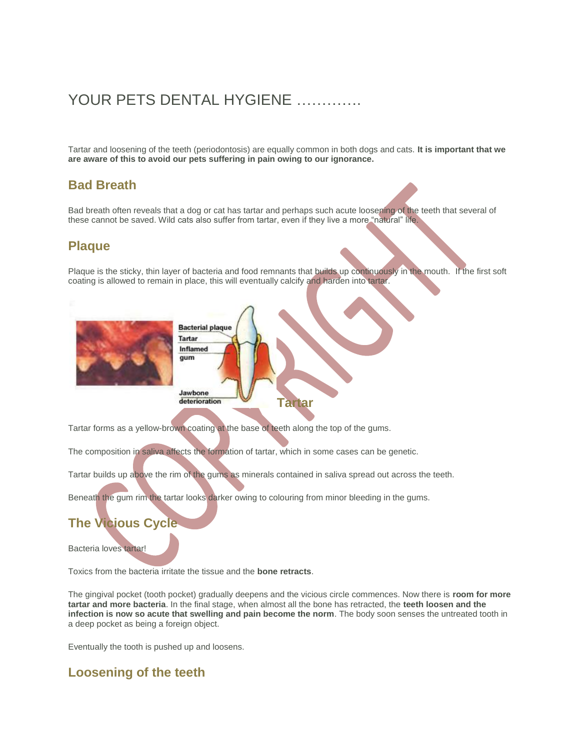# YOUR PETS DENTAL HYGIENE

Tartar and loosening of the teeth (periodontosis) are equally common in both dogs and cats. **It is important that we are aware of this to avoid our pets suffering in pain owing to our ignorance.**

#### **Bad Breath**

Bad breath often reveals that a dog or cat has tartar and perhaps such acute loosening of the teeth that several of these cannot be saved. Wild cats also suffer from tartar, even if they live a more "natural" life.

### **Plaque**

Plaque is the sticky, thin layer of bacteria and food remnants that builds up continuously in the mouth. If the first soft coating is allowed to remain in place, this will eventually calcify and harden into tartar.



Tartar forms as a yellow-brown coating at the base of teeth along the top of the gums.

The composition in saliva affects the formation of tartar, which in some cases can be genetic.

Tartar builds up above the rim of the gums as minerals contained in saliva spread out across the teeth.

Beneath the gum rim the tartar looks darker owing to colouring from minor bleeding in the gums.

## **The Vicious Cycle**

Bacteria loves tartar!

Toxics from the bacteria irritate the tissue and the **bone retracts**.

The gingival pocket (tooth pocket) gradually deepens and the vicious circle commences. Now there is **room for more tartar and more bacteria**. In the final stage, when almost all the bone has retracted, the **teeth loosen and the infection is now so acute that swelling and pain become the norm**. The body soon senses the untreated tooth in a deep pocket as being a foreign object.

Eventually the tooth is pushed up and loosens.

### **Loosening of the teeth**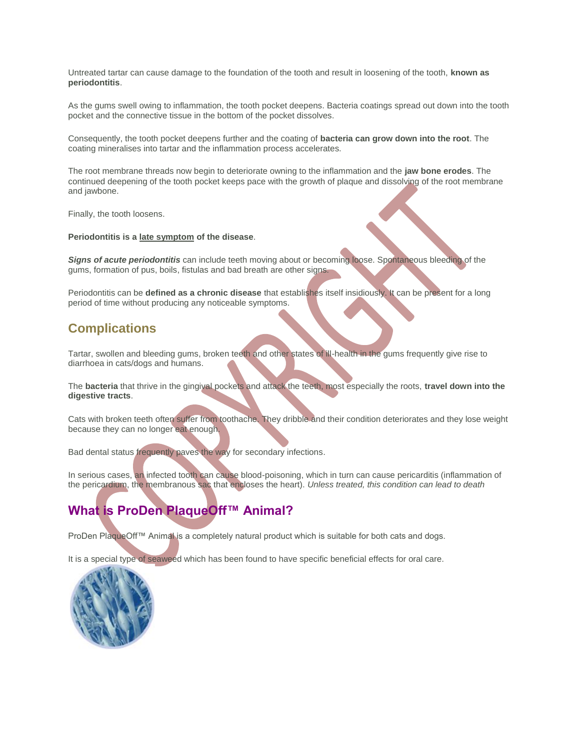Untreated tartar can cause damage to the foundation of the tooth and result in loosening of the tooth, **known as periodontitis**.

As the gums swell owing to inflammation, the tooth pocket deepens. Bacteria coatings spread out down into the tooth pocket and the connective tissue in the bottom of the pocket dissolves.

Consequently, the tooth pocket deepens further and the coating of **bacteria can grow down into the root**. The coating mineralises into tartar and the inflammation process accelerates.

The root membrane threads now begin to deteriorate owning to the inflammation and the **jaw bone erodes**. The continued deepening of the tooth pocket keeps pace with the growth of plaque and dissolving of the root membrane and jawbone.

Finally, the tooth loosens.

#### **Periodontitis is a late symptom of the disease**.

*Signs of acute periodontitis* can include teeth moving about or becoming loose. Spontaneous bleeding of the gums, formation of pus, boils, fistulas and bad breath are other signs.

Periodontitis can be **defined as a chronic disease** that establishes itself insidiously. It can be present for a long period of time without producing any noticeable symptoms.

#### **Complications**

Tartar, swollen and bleeding gums, broken teeth and other states of ill-health in the gums frequently give rise to diarrhoea in cats/dogs and humans.

The **bacteria** that thrive in the gingival pockets and attack the teeth, most especially the roots, **travel down into the digestive tracts**.

Cats with broken teeth often suffer from toothache. They dribble and their condition deteriorates and they lose weight because they can no longer eat enough.

Bad dental status frequently paves the way for secondary infections.

In serious cases, an infected tooth can cause blood-poisoning, which in turn can cause pericarditis (inflammation of the pericardium, the membranous sac that encloses the heart). *Unless treated, this condition can lead to death*

## **What is ProDen PlaqueOff™ Animal?**

ProDen PlaqueOff™ Animal is a completely natural product which is suitable for both cats and dogs.

It is a special type of seaweed which has been found to have specific beneficial effects for oral care.

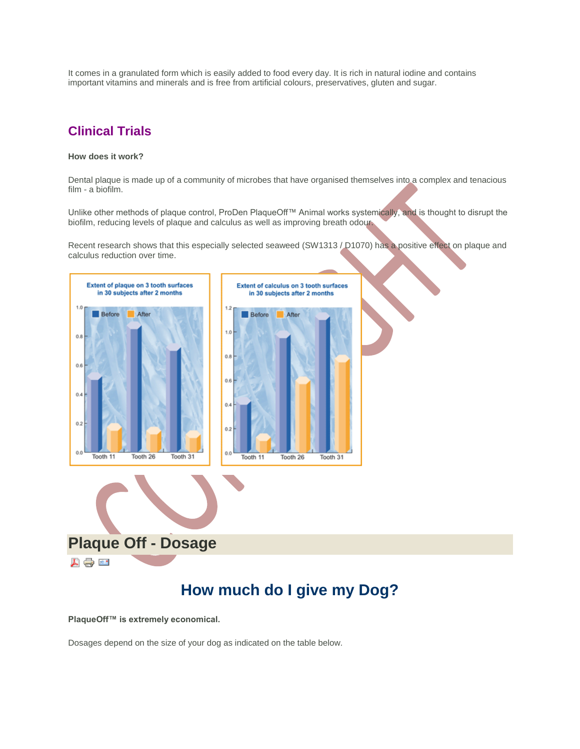It comes in a granulated form which is easily added to food every day. It is rich in natural iodine and contains important vitamins and minerals and is free from artificial colours, preservatives, gluten and sugar.

### **Clinical Trials**

#### **How does it work?**

Dental plaque is made up of a community of microbes that have organised themselves into a complex and tenacious film - a biofilm.

Unlike other methods of plaque control, ProDen PlaqueOff™ Animal works systemically, and is thought to disrupt the biofilm, reducing levels of plaque and calculus as well as improving breath odour.

Recent research shows that this especially selected seaweed (SW1313 / D1070) has a positive effect on plaque and calculus reduction over time.





# **How much do I give my Dog?**

**PlaqueOff™ is extremely economical.**

Dosages depend on the size of your dog as indicated on the table below.